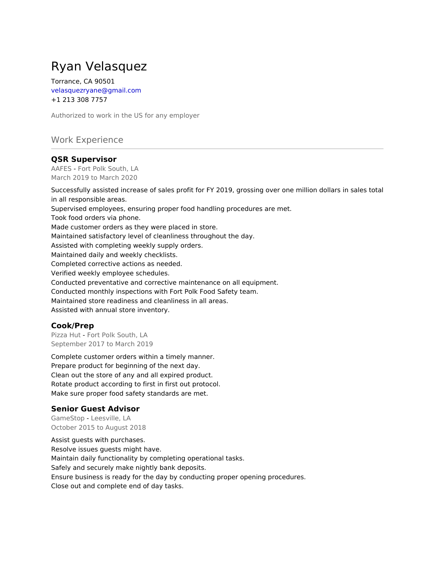# Ryan Velasquez

Torrance, CA 90501 velasquezryane@gmail.com +1 213 308 7757

Authorized to work in the US for any employer

# Work Experience

## **QSR Supervisor**

AAFES - Fort Polk South, LA March 2019 to March 2020

Successfully assisted increase of sales profit for FY 2019, grossing over one million dollars in sales total in all responsible areas. Supervised employees, ensuring proper food handling procedures are met. Took food orders via phone. Made customer orders as they were placed in store. Maintained satisfactory level of cleanliness throughout the day. Assisted with completing weekly supply orders. Maintained daily and weekly checklists. Completed corrective actions as needed. Verified weekly employee schedules. Conducted preventative and corrective maintenance on all equipment. Conducted monthly inspections with Fort Polk Food Safety team. Maintained store readiness and cleanliness in all areas. Assisted with annual store inventory.

### **Cook/Prep**

Pizza Hut - Fort Polk South, LA September 2017 to March 2019

Complete customer orders within a timely manner. Prepare product for beginning of the next day. Clean out the store of any and all expired product. Rotate product according to first in first out protocol. Make sure proper food safety standards are met.

### **Senior Guest Advisor**

GameStop - Leesville, LA October 2015 to August 2018

Assist guests with purchases. Resolve issues guests might have. Maintain daily functionality by completing operational tasks. Safely and securely make nightly bank deposits. Ensure business is ready for the day by conducting proper opening procedures. Close out and complete end of day tasks.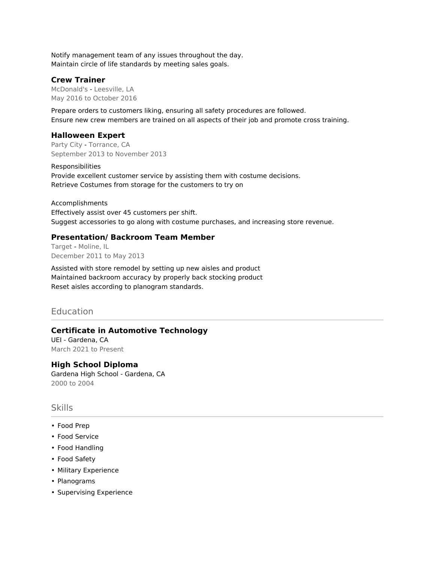Notify management team of any issues throughout the day. Maintain circle of life standards by meeting sales goals.

## **Crew Trainer**

McDonald's - Leesville, LA May 2016 to October 2016

Prepare orders to customers liking, ensuring all safety procedures are followed. Ensure new crew members are trained on all aspects of their job and promote cross training.

## **Halloween Expert**

Party City - Torrance, CA September 2013 to November 2013

Responsibilities Provide excellent customer service by assisting them with costume decisions. Retrieve Costumes from storage for the customers to try on

Accomplishments Effectively assist over 45 customers per shift. Suggest accessories to go along with costume purchases, and increasing store revenue.

# **Presentation/ Backroom Team Member**

Target - Moline, IL December 2011 to May 2013

Assisted with store remodel by setting up new aisles and product Maintained backroom accuracy by properly back stocking product Reset aisles according to planogram standards.

# **Education**

# **Certificate in Automotive Technology**

UEI - Gardena, CA March 2021 to Present

### **High School Diploma**

Gardena High School - Gardena, CA 2000 to 2004

### Skills

- Food Prep
- Food Service
- Food Handling
- Food Safety
- Military Experience
- Planograms
- Supervising Experience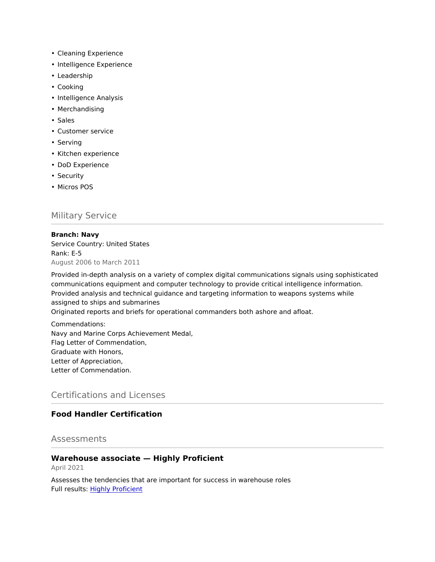- Cleaning Experience
- Intelligence Experience
- Leadership
- Cooking
- Intelligence Analysis
- Merchandising
- Sales
- Customer service
- Serving
- Kitchen experience
- DoD Experience
- Security
- Micros POS

# Military Service

#### **Branch: Navy**

Service Country: United States Rank: E-5 August 2006 to March 2011

Provided in-depth analysis on a variety of complex digital communications signals using sophisticated communications equipment and computer technology to provide critical intelligence information. Provided analysis and technical guidance and targeting information to weapons systems while assigned to ships and submarines

Originated reports and briefs for operational commanders both ashore and afloat.

Commendations: Navy and Marine Corps Achievement Medal, Flag Letter of Commendation, Graduate with Honors, Letter of Appreciation, Letter of Commendation.

# Certifications and Licenses

# **Food Handler Certification**

## Assessments

#### **Warehouse associate — Highly Proficient**

April 2021

Assesses the tendencies that are important for success in warehouse roles Full results: [Highly Proficient](https://share.indeedassessments.com/attempts/296be2630913f6765418caa1ab2c57adeed53dc074545cb7)